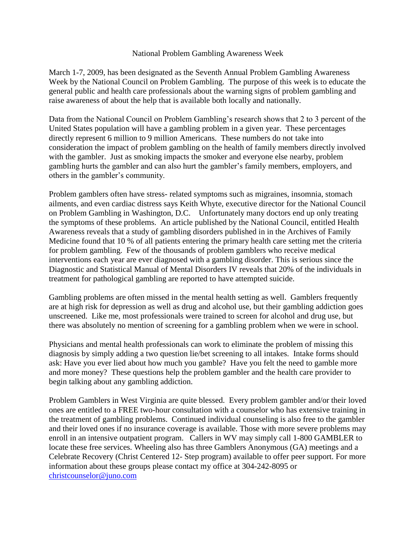## National Problem Gambling Awareness Week

March 1-7, 2009, has been designated as the Seventh Annual Problem Gambling Awareness Week by the National Council on Problem Gambling. The purpose of this week is to educate the general public and health care professionals about the warning signs of problem gambling and raise awareness of about the help that is available both locally and nationally.

Data from the National Council on Problem Gambling's research shows that 2 to 3 percent of the United States population will have a gambling problem in a given year. These percentages directly represent 6 million to 9 million Americans. These numbers do not take into consideration the impact of problem gambling on the health of family members directly involved with the gambler. Just as smoking impacts the smoker and everyone else nearby, problem gambling hurts the gambler and can also hurt the gambler's family members, employers, and others in the gambler's community.

Problem gamblers often have stress- related symptoms such as migraines, insomnia, stomach ailments, and even cardiac distress says Keith Whyte, executive director for the National Council on Problem Gambling in Washington, D.C. Unfortunately many doctors end up only treating the symptoms of these problems. An article published by the National Council, entitled Health Awareness reveals that a study of gambling disorders published in in the Archives of Family Medicine found that 10 % of all patients entering the primary health care setting met the criteria for problem gambling. Few of the thousands of problem gamblers who receive medical interventions each year are ever diagnosed with a gambling disorder. This is serious since the Diagnostic and Statistical Manual of Mental Disorders IV reveals that 20% of the individuals in treatment for pathological gambling are reported to have attempted suicide.

Gambling problems are often missed in the mental health setting as well. Gamblers frequently are at high risk for depression as well as drug and alcohol use, but their gambling addiction goes unscreened. Like me, most professionals were trained to screen for alcohol and drug use, but there was absolutely no mention of screening for a gambling problem when we were in school.

Physicians and mental health professionals can work to eliminate the problem of missing this diagnosis by simply adding a two question lie/bet screening to all intakes. Intake forms should ask: Have you ever lied about how much you gamble? Have you felt the need to gamble more and more money? These questions help the problem gambler and the health care provider to begin talking about any gambling addiction.

Problem Gamblers in West Virginia are quite blessed. Every problem gambler and/or their loved ones are entitled to a FREE two-hour consultation with a counselor who has extensive training in the treatment of gambling problems. Continued individual counseling is also free to the gambler and their loved ones if no insurance coverage is available. Those with more severe problems may enroll in an intensive outpatient program. Callers in WV may simply call 1-800 GAMBLER to locate these free services. Wheeling also has three Gamblers Anonymous (GA) meetings and a Celebrate Recovery (Christ Centered 12- Step program) available to offer peer support. For more information about these groups please contact my office at 304-242-8095 or [christcounselor@juno.com](http://webmailb.juno.com/webmail/new/21?folder=Sent&msgNum=00002sk0:0019eA8y00001ByO&count=1339012074&randid=1110453813&attachId=0&isUnDisplayableMail=yes&blockImages=0&randid=1110453813)